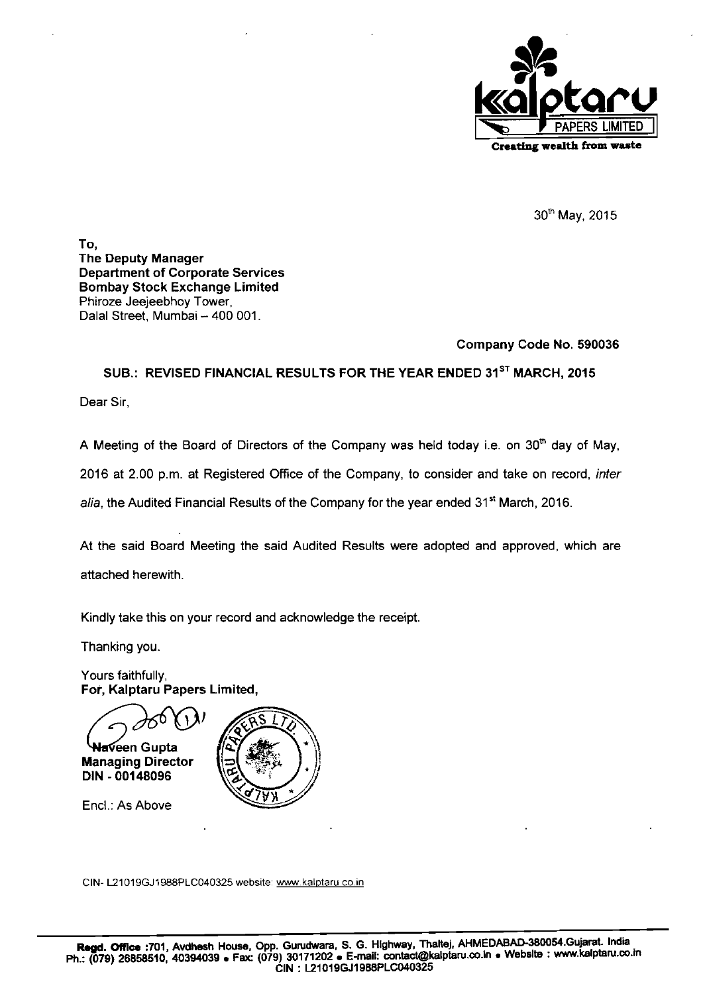

30<sup>th</sup> May, 2015

To, The Deputy Manager Department of Corporate Services Bombay Stock Exchange Limited Phiroze Jeejeebhoy Tower, Dalal Street, Mumbai - 400 001.

## Company Code No. 590036

SUB.: REVISED FINANCIAL RESULTS FOR THE YEAR ENDED 31<sup>ST</sup> MARCH, 2015

Dear Sir,

A Meeting of the Board of Directors of the Company was held today i.e. on 30<sup>th</sup> day of May, 2016 at 2.00 p.m. at Registered Office of the Company, to consider and take on record, inter alia, the Audited Financial Results of the Company for the year ended 31<sup>st</sup> March, 2016.

At the said Board Meeting the said Audited Results were adopted and approved, which are attached herewith.

Kindly take this on your record and acknowledge the receipt.

Thanking you.

Yours faithfully, For, Kalptaru Papers Limited,

<del>la</del>veen Gupta

Managing Director DIN - 00148096



Encl.: As Above

CIN- L21019GJ1988PLC040325 website: www.kalptaru.co.in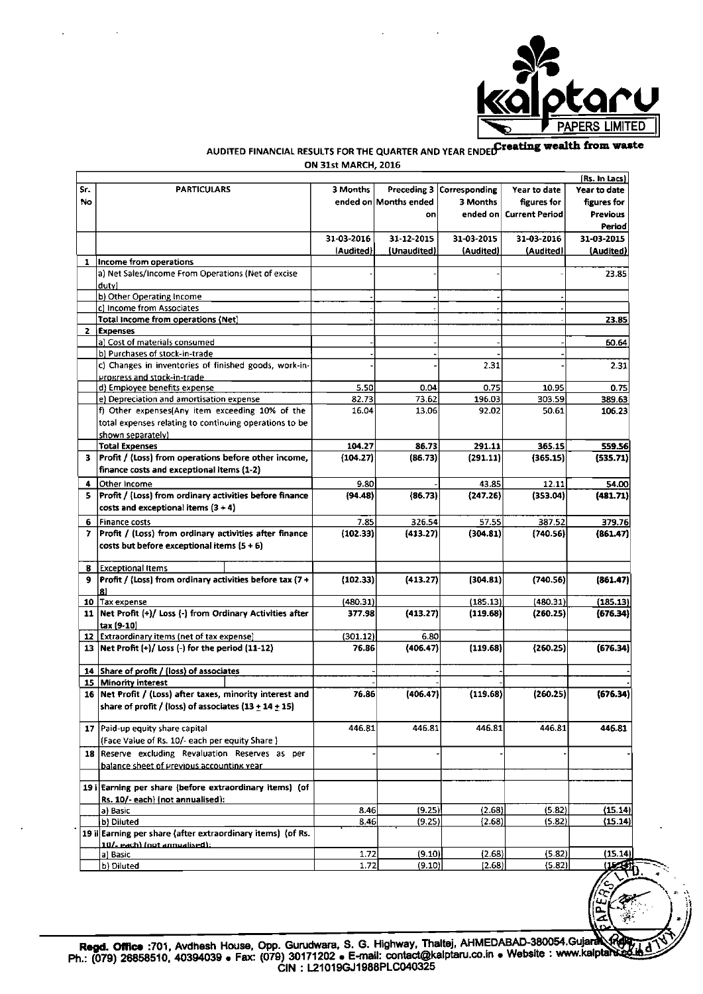

# AUDITED FINANCIAL RESULTS FOR THE QUARTER AND YEAR ENDED Treating wealth from waste ON 31st MARCH, 2016

|     |                                                             |            |                       |                             |                         | (Rs. In Lacs)     |
|-----|-------------------------------------------------------------|------------|-----------------------|-----------------------------|-------------------------|-------------------|
| Sr. | <b>PARTICULARS</b>                                          | 3 Months   |                       | Preceding 3   Corresponding | Year to date            | Year to date      |
| No  |                                                             |            | ended on Months ended | 3 Months                    | figures for             | figures for       |
|     |                                                             |            | on                    |                             | ended on Current Period | <b>Previous</b>   |
|     |                                                             |            |                       |                             |                         | Period            |
|     |                                                             | 31-03-2016 | 31 12 2015            | 31-03-2015                  | 31-03-2016              | 31-03-2015        |
|     |                                                             | (Audited)  | (Unaudited)           | (Audited)                   | (Audited)               | (Audited)         |
| 1   | Income from operations                                      |            |                       |                             |                         |                   |
|     | a) Net Sales/Income From Operations (Net of excise          |            |                       |                             |                         | 23.85             |
|     | dutvi                                                       |            |                       |                             |                         |                   |
|     | b) Other Operating Income                                   |            |                       |                             |                         |                   |
|     | c] Income from Associates                                   |            |                       |                             |                         |                   |
|     | Total Income from operations (Net)                          |            |                       |                             |                         | 23.85             |
|     | 2 Expenses                                                  |            |                       |                             |                         |                   |
|     | a) Cost of materials consumed                               |            |                       |                             |                         | 60.64             |
|     | b) Purchases of stock-in-trade                              |            |                       |                             |                         |                   |
|     | c) Changes in inventories of finished goods, work-in-       |            |                       | 2.31                        |                         | 2.31              |
|     | Progress and stock-in-trade                                 |            |                       |                             |                         |                   |
|     | d) Employee benefits expense                                | 5.50       | 0.04                  | 0.75                        | 10.95                   | 0.75              |
|     | e) Depreciation and amortisation expense                    | 82.73      | 73.62                 | 196.03                      | 303.59                  | 389.63            |
|     | f) Other expenses(Any item exceeding 10% of the             | 16.04      | 13.06                 | 92.02                       | 50.61                   | 106.23            |
|     | total expenses relating to continuing operations to be      |            |                       |                             |                         |                   |
|     | shown separately)                                           |            |                       |                             |                         |                   |
|     | <b>Total Expenses</b>                                       | 104.27     | 86.73                 | 291.11                      | 365.15                  | 559.56            |
| з.  | Profit / (Loss) from operations before other income,        | (104.27)   | (86.73)               | (291.11)                    | (365.15)                | (535.71)          |
|     | finance costs and exceptional items (1-2)                   |            |                       |                             |                         |                   |
| 4   | Other Income                                                | 9.80       |                       | 43.85                       | 12.11                   | 54.00             |
| 5.  | Profit / (Loss) from ordinary activities before finance     | (94.48)    | (86.73)               | (247.26)                    | (353.04)                | (481.71)          |
|     | costs and exceptional items $(3 + 4)$                       |            |                       |                             |                         |                   |
| 6   | <b>Finance costs</b>                                        | 7.85       | 326.54                | 57.55                       | 387.52                  | 379.76            |
| 7   | Profit / (Loss) from ordinary activities after finance      | (102.33)   | (413.27)              | (304.81)                    | (740.56)                | (861.47)          |
|     | costs but before exceptional items $(5 + 6)$                |            |                       |                             |                         |                   |
|     |                                                             |            |                       |                             |                         |                   |
| 8   | <b>Exceptional Items</b>                                    |            |                       |                             |                         |                   |
| 9.  | Profit / (Loss) from ordinary activities before tax (7+     | (102.33)   | (413.27)              | (304.81)                    | (740.56)                | (861.47)          |
|     |                                                             |            |                       |                             |                         |                   |
| 10  | <b>Tax expense</b>                                          | (480.31)   |                       | (185.13)                    | (480.31)                | (185.13)          |
| 11  | Net Profit (+)/ Loss (-) from Ordinary Activities after     | 377.98     | (413.27)              | (119.68)                    | (260.25)                | (676.34)          |
|     | tax (9-10)                                                  |            |                       |                             |                         |                   |
| 12  | <b>Extraordinary items (net of tax expense)</b>             | (301.12)   | 6.80                  |                             |                         |                   |
|     | 13   Net Profit $(+)/$ Loss $(-)$ for the period $(11-12)$  | 76.86      | (406.47)              | (119.68)                    | (260.25)                | (676.34)          |
|     |                                                             |            |                       |                             |                         |                   |
|     | 14 Share of profit / (loss) of associates                   |            |                       |                             |                         |                   |
|     | 15 Minority interest                                        |            |                       |                             |                         |                   |
|     | 16 Net Profit / (Loss) after taxes, minority interest and   | 76.86      | (406.47)              | (119.68)                    | (260.25)                | (676.34)          |
|     | share of profit / (loss) of associates $(13 \pm 14 \pm 15)$ |            |                       |                             |                         |                   |
|     |                                                             |            |                       |                             |                         |                   |
|     | 17 Paid-up equity share capital                             | 446.81     | 446.81                | 446.81                      | 446.81                  | 446.81            |
|     | (Face Value of Rs. 10/- each per equity Share)              |            |                       |                             |                         |                   |
|     | 18 Reserve excluding Revaluation Reserves as per            |            |                       |                             |                         |                   |
|     | balance sheet of previous accounting year                   |            |                       |                             |                         |                   |
|     |                                                             |            |                       |                             |                         |                   |
|     | 19 i Earning per share (before extraordinary items) (of     |            |                       |                             |                         |                   |
|     | Rs. 10/- each) (not annualised):                            |            |                       |                             |                         |                   |
|     | a) Basic                                                    | 8.46       | (9.25)                | (2.68)                      | (5.82)                  | (15.14)           |
|     | b) Diluted                                                  | 8.46       | (9.25)                | (2.68)                      | (5.82)                  | (15.14)           |
|     | 19 ii Earning per share (after extraordinary items) (of Rs. |            |                       |                             |                         |                   |
|     | 10/- each) (not annualised);                                |            |                       |                             |                         |                   |
|     | a) Basic                                                    | 1.72       | (9.10)                | (2.68)                      | (5.82)                  | (15.14)           |
|     | b) Diluted                                                  | 1.72       | (9.10)                | [2.68]                      | (5.82)                  | $(L, \mathbb{C})$ |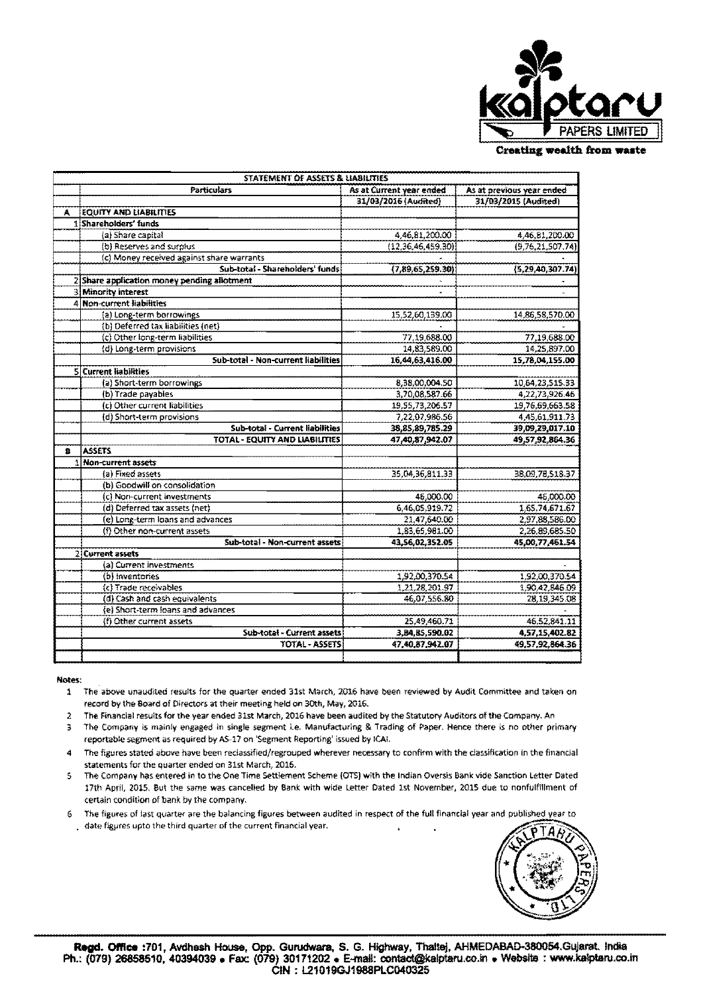

**Creating wealth from waste** 

| As at Current year ended<br>As at previous year ended<br>Particulars<br>31/03/2016 (Audited)<br>31/03/2015 (Audited)<br><b>EQUITY AND LIABILITIES</b><br>Ą<br>1 Shareholders' funds<br>4,46,81,200.00<br>(a) Share capital<br>4,46,81,200.00<br>(b) Reserves and surplus<br>(12, 36, 46, 459, 30)<br>(9,76,21,507.74)<br>(c) Money received against share warrants<br>Sub-total - Shareholders' funds<br>(7,89,65,259.30)<br>(5, 29, 40, 307, 74)<br>2 Share application money pending allotment<br><b>3 Minority interest</b><br>w.<br>4 Non-current liabilities<br>(a) Long-term borrowings<br>15,52,60,139.00<br>14,86,58,570.00<br>(b) Deferred tax liabilities (net)<br>(c) Other long-term liabilities<br>77,19,688.00<br>77,19,688.00<br>14,25,897.00<br>(d) Long-term provisions<br>14,83,589.00<br>Sub-total - Non-current liabilities<br>15,78,04,155.00<br>16,44,63,416.00<br>5 Current liabilities<br>(a) Short-term borrowings<br>8,38,00,004.50<br>10,64,23,515.33<br>(b) Trade payables<br>3,70,08,587.66<br>4,22,73,926.46<br>(c) Other current liabilities<br>19,55,73,206.57<br>19.76.69,663.58<br>(d) Short-term provisions<br>7,22,07,986.56<br>4,45,61,911.73<br>Sub-total - Current liabilities<br>38.85,89,785.29<br>39,09,29,017.10<br><b>TOTAL - EQUITY AND LIABILITIES</b><br>47.40.87,942.07<br>49,57,92,864.36<br><b>ASSETS</b><br>B<br>Non-current assets<br>35,04,36,811.33<br>(a) Fixed assets<br>38,09,78,518.37<br>(b) Goodwill on consolidation<br>(c) Non-current investments<br>46,000.00<br>46,000.00<br>1,65,74,671.67<br>(d) Deferred tax assets (net)<br>6,46,05,919.72<br>(e) Long-term loans and advances<br>21,47,640.00<br>2,97,88,586.00<br>(f) Other non-current assets<br>1,83,65,981.00<br>2,26,89,685.50<br>Sub-total - Non-current assets<br>43,56,02,352.05<br>45,00,77,461.54<br>2 Current assets<br>(a) Current investments<br>1,92,00,370.54<br>(b) inventories<br>1,92,00,370.54<br>1,21,28,201.97<br>(c) Trade receivables<br>1,90,42,846.09<br>(d) Cash and cash equivalents<br>46,07,556.80<br>(e) Short-term loans and advances<br>(f) Other current assets<br>25,49,460.71<br>Sub-total - Current assets<br>3,84,85,590.02<br><b>TOTAL - ASSETS</b><br>47.40.87.942.07<br>49.57.92.864.36 | STATEMENT OF ASSETS & LIABILITIES |  |  |  |  |  |  |  |
|-------------------------------------------------------------------------------------------------------------------------------------------------------------------------------------------------------------------------------------------------------------------------------------------------------------------------------------------------------------------------------------------------------------------------------------------------------------------------------------------------------------------------------------------------------------------------------------------------------------------------------------------------------------------------------------------------------------------------------------------------------------------------------------------------------------------------------------------------------------------------------------------------------------------------------------------------------------------------------------------------------------------------------------------------------------------------------------------------------------------------------------------------------------------------------------------------------------------------------------------------------------------------------------------------------------------------------------------------------------------------------------------------------------------------------------------------------------------------------------------------------------------------------------------------------------------------------------------------------------------------------------------------------------------------------------------------------------------------------------------------------------------------------------------------------------------------------------------------------------------------------------------------------------------------------------------------------------------------------------------------------------------------------------------------------------------------------------------------------------------------------------------------------------------------------------------------------------------------------------------------------|-----------------------------------|--|--|--|--|--|--|--|
|                                                                                                                                                                                                                                                                                                                                                                                                                                                                                                                                                                                                                                                                                                                                                                                                                                                                                                                                                                                                                                                                                                                                                                                                                                                                                                                                                                                                                                                                                                                                                                                                                                                                                                                                                                                                                                                                                                                                                                                                                                                                                                                                                                                                                                                       |                                   |  |  |  |  |  |  |  |
| 28,19,345.08<br>46,52,841.11                                                                                                                                                                                                                                                                                                                                                                                                                                                                                                                                                                                                                                                                                                                                                                                                                                                                                                                                                                                                                                                                                                                                                                                                                                                                                                                                                                                                                                                                                                                                                                                                                                                                                                                                                                                                                                                                                                                                                                                                                                                                                                                                                                                                                          |                                   |  |  |  |  |  |  |  |
|                                                                                                                                                                                                                                                                                                                                                                                                                                                                                                                                                                                                                                                                                                                                                                                                                                                                                                                                                                                                                                                                                                                                                                                                                                                                                                                                                                                                                                                                                                                                                                                                                                                                                                                                                                                                                                                                                                                                                                                                                                                                                                                                                                                                                                                       |                                   |  |  |  |  |  |  |  |
|                                                                                                                                                                                                                                                                                                                                                                                                                                                                                                                                                                                                                                                                                                                                                                                                                                                                                                                                                                                                                                                                                                                                                                                                                                                                                                                                                                                                                                                                                                                                                                                                                                                                                                                                                                                                                                                                                                                                                                                                                                                                                                                                                                                                                                                       |                                   |  |  |  |  |  |  |  |
|                                                                                                                                                                                                                                                                                                                                                                                                                                                                                                                                                                                                                                                                                                                                                                                                                                                                                                                                                                                                                                                                                                                                                                                                                                                                                                                                                                                                                                                                                                                                                                                                                                                                                                                                                                                                                                                                                                                                                                                                                                                                                                                                                                                                                                                       |                                   |  |  |  |  |  |  |  |
|                                                                                                                                                                                                                                                                                                                                                                                                                                                                                                                                                                                                                                                                                                                                                                                                                                                                                                                                                                                                                                                                                                                                                                                                                                                                                                                                                                                                                                                                                                                                                                                                                                                                                                                                                                                                                                                                                                                                                                                                                                                                                                                                                                                                                                                       |                                   |  |  |  |  |  |  |  |
|                                                                                                                                                                                                                                                                                                                                                                                                                                                                                                                                                                                                                                                                                                                                                                                                                                                                                                                                                                                                                                                                                                                                                                                                                                                                                                                                                                                                                                                                                                                                                                                                                                                                                                                                                                                                                                                                                                                                                                                                                                                                                                                                                                                                                                                       |                                   |  |  |  |  |  |  |  |
|                                                                                                                                                                                                                                                                                                                                                                                                                                                                                                                                                                                                                                                                                                                                                                                                                                                                                                                                                                                                                                                                                                                                                                                                                                                                                                                                                                                                                                                                                                                                                                                                                                                                                                                                                                                                                                                                                                                                                                                                                                                                                                                                                                                                                                                       |                                   |  |  |  |  |  |  |  |
|                                                                                                                                                                                                                                                                                                                                                                                                                                                                                                                                                                                                                                                                                                                                                                                                                                                                                                                                                                                                                                                                                                                                                                                                                                                                                                                                                                                                                                                                                                                                                                                                                                                                                                                                                                                                                                                                                                                                                                                                                                                                                                                                                                                                                                                       |                                   |  |  |  |  |  |  |  |
|                                                                                                                                                                                                                                                                                                                                                                                                                                                                                                                                                                                                                                                                                                                                                                                                                                                                                                                                                                                                                                                                                                                                                                                                                                                                                                                                                                                                                                                                                                                                                                                                                                                                                                                                                                                                                                                                                                                                                                                                                                                                                                                                                                                                                                                       |                                   |  |  |  |  |  |  |  |
|                                                                                                                                                                                                                                                                                                                                                                                                                                                                                                                                                                                                                                                                                                                                                                                                                                                                                                                                                                                                                                                                                                                                                                                                                                                                                                                                                                                                                                                                                                                                                                                                                                                                                                                                                                                                                                                                                                                                                                                                                                                                                                                                                                                                                                                       |                                   |  |  |  |  |  |  |  |
|                                                                                                                                                                                                                                                                                                                                                                                                                                                                                                                                                                                                                                                                                                                                                                                                                                                                                                                                                                                                                                                                                                                                                                                                                                                                                                                                                                                                                                                                                                                                                                                                                                                                                                                                                                                                                                                                                                                                                                                                                                                                                                                                                                                                                                                       |                                   |  |  |  |  |  |  |  |
|                                                                                                                                                                                                                                                                                                                                                                                                                                                                                                                                                                                                                                                                                                                                                                                                                                                                                                                                                                                                                                                                                                                                                                                                                                                                                                                                                                                                                                                                                                                                                                                                                                                                                                                                                                                                                                                                                                                                                                                                                                                                                                                                                                                                                                                       |                                   |  |  |  |  |  |  |  |
|                                                                                                                                                                                                                                                                                                                                                                                                                                                                                                                                                                                                                                                                                                                                                                                                                                                                                                                                                                                                                                                                                                                                                                                                                                                                                                                                                                                                                                                                                                                                                                                                                                                                                                                                                                                                                                                                                                                                                                                                                                                                                                                                                                                                                                                       |                                   |  |  |  |  |  |  |  |
|                                                                                                                                                                                                                                                                                                                                                                                                                                                                                                                                                                                                                                                                                                                                                                                                                                                                                                                                                                                                                                                                                                                                                                                                                                                                                                                                                                                                                                                                                                                                                                                                                                                                                                                                                                                                                                                                                                                                                                                                                                                                                                                                                                                                                                                       |                                   |  |  |  |  |  |  |  |
|                                                                                                                                                                                                                                                                                                                                                                                                                                                                                                                                                                                                                                                                                                                                                                                                                                                                                                                                                                                                                                                                                                                                                                                                                                                                                                                                                                                                                                                                                                                                                                                                                                                                                                                                                                                                                                                                                                                                                                                                                                                                                                                                                                                                                                                       |                                   |  |  |  |  |  |  |  |
|                                                                                                                                                                                                                                                                                                                                                                                                                                                                                                                                                                                                                                                                                                                                                                                                                                                                                                                                                                                                                                                                                                                                                                                                                                                                                                                                                                                                                                                                                                                                                                                                                                                                                                                                                                                                                                                                                                                                                                                                                                                                                                                                                                                                                                                       |                                   |  |  |  |  |  |  |  |
|                                                                                                                                                                                                                                                                                                                                                                                                                                                                                                                                                                                                                                                                                                                                                                                                                                                                                                                                                                                                                                                                                                                                                                                                                                                                                                                                                                                                                                                                                                                                                                                                                                                                                                                                                                                                                                                                                                                                                                                                                                                                                                                                                                                                                                                       |                                   |  |  |  |  |  |  |  |
|                                                                                                                                                                                                                                                                                                                                                                                                                                                                                                                                                                                                                                                                                                                                                                                                                                                                                                                                                                                                                                                                                                                                                                                                                                                                                                                                                                                                                                                                                                                                                                                                                                                                                                                                                                                                                                                                                                                                                                                                                                                                                                                                                                                                                                                       |                                   |  |  |  |  |  |  |  |
|                                                                                                                                                                                                                                                                                                                                                                                                                                                                                                                                                                                                                                                                                                                                                                                                                                                                                                                                                                                                                                                                                                                                                                                                                                                                                                                                                                                                                                                                                                                                                                                                                                                                                                                                                                                                                                                                                                                                                                                                                                                                                                                                                                                                                                                       |                                   |  |  |  |  |  |  |  |
|                                                                                                                                                                                                                                                                                                                                                                                                                                                                                                                                                                                                                                                                                                                                                                                                                                                                                                                                                                                                                                                                                                                                                                                                                                                                                                                                                                                                                                                                                                                                                                                                                                                                                                                                                                                                                                                                                                                                                                                                                                                                                                                                                                                                                                                       |                                   |  |  |  |  |  |  |  |
|                                                                                                                                                                                                                                                                                                                                                                                                                                                                                                                                                                                                                                                                                                                                                                                                                                                                                                                                                                                                                                                                                                                                                                                                                                                                                                                                                                                                                                                                                                                                                                                                                                                                                                                                                                                                                                                                                                                                                                                                                                                                                                                                                                                                                                                       |                                   |  |  |  |  |  |  |  |
|                                                                                                                                                                                                                                                                                                                                                                                                                                                                                                                                                                                                                                                                                                                                                                                                                                                                                                                                                                                                                                                                                                                                                                                                                                                                                                                                                                                                                                                                                                                                                                                                                                                                                                                                                                                                                                                                                                                                                                                                                                                                                                                                                                                                                                                       |                                   |  |  |  |  |  |  |  |
|                                                                                                                                                                                                                                                                                                                                                                                                                                                                                                                                                                                                                                                                                                                                                                                                                                                                                                                                                                                                                                                                                                                                                                                                                                                                                                                                                                                                                                                                                                                                                                                                                                                                                                                                                                                                                                                                                                                                                                                                                                                                                                                                                                                                                                                       |                                   |  |  |  |  |  |  |  |
|                                                                                                                                                                                                                                                                                                                                                                                                                                                                                                                                                                                                                                                                                                                                                                                                                                                                                                                                                                                                                                                                                                                                                                                                                                                                                                                                                                                                                                                                                                                                                                                                                                                                                                                                                                                                                                                                                                                                                                                                                                                                                                                                                                                                                                                       |                                   |  |  |  |  |  |  |  |
|                                                                                                                                                                                                                                                                                                                                                                                                                                                                                                                                                                                                                                                                                                                                                                                                                                                                                                                                                                                                                                                                                                                                                                                                                                                                                                                                                                                                                                                                                                                                                                                                                                                                                                                                                                                                                                                                                                                                                                                                                                                                                                                                                                                                                                                       |                                   |  |  |  |  |  |  |  |
|                                                                                                                                                                                                                                                                                                                                                                                                                                                                                                                                                                                                                                                                                                                                                                                                                                                                                                                                                                                                                                                                                                                                                                                                                                                                                                                                                                                                                                                                                                                                                                                                                                                                                                                                                                                                                                                                                                                                                                                                                                                                                                                                                                                                                                                       |                                   |  |  |  |  |  |  |  |
|                                                                                                                                                                                                                                                                                                                                                                                                                                                                                                                                                                                                                                                                                                                                                                                                                                                                                                                                                                                                                                                                                                                                                                                                                                                                                                                                                                                                                                                                                                                                                                                                                                                                                                                                                                                                                                                                                                                                                                                                                                                                                                                                                                                                                                                       |                                   |  |  |  |  |  |  |  |
|                                                                                                                                                                                                                                                                                                                                                                                                                                                                                                                                                                                                                                                                                                                                                                                                                                                                                                                                                                                                                                                                                                                                                                                                                                                                                                                                                                                                                                                                                                                                                                                                                                                                                                                                                                                                                                                                                                                                                                                                                                                                                                                                                                                                                                                       |                                   |  |  |  |  |  |  |  |
|                                                                                                                                                                                                                                                                                                                                                                                                                                                                                                                                                                                                                                                                                                                                                                                                                                                                                                                                                                                                                                                                                                                                                                                                                                                                                                                                                                                                                                                                                                                                                                                                                                                                                                                                                                                                                                                                                                                                                                                                                                                                                                                                                                                                                                                       |                                   |  |  |  |  |  |  |  |
|                                                                                                                                                                                                                                                                                                                                                                                                                                                                                                                                                                                                                                                                                                                                                                                                                                                                                                                                                                                                                                                                                                                                                                                                                                                                                                                                                                                                                                                                                                                                                                                                                                                                                                                                                                                                                                                                                                                                                                                                                                                                                                                                                                                                                                                       |                                   |  |  |  |  |  |  |  |
|                                                                                                                                                                                                                                                                                                                                                                                                                                                                                                                                                                                                                                                                                                                                                                                                                                                                                                                                                                                                                                                                                                                                                                                                                                                                                                                                                                                                                                                                                                                                                                                                                                                                                                                                                                                                                                                                                                                                                                                                                                                                                                                                                                                                                                                       |                                   |  |  |  |  |  |  |  |
|                                                                                                                                                                                                                                                                                                                                                                                                                                                                                                                                                                                                                                                                                                                                                                                                                                                                                                                                                                                                                                                                                                                                                                                                                                                                                                                                                                                                                                                                                                                                                                                                                                                                                                                                                                                                                                                                                                                                                                                                                                                                                                                                                                                                                                                       |                                   |  |  |  |  |  |  |  |
| 4,57,15,402.82                                                                                                                                                                                                                                                                                                                                                                                                                                                                                                                                                                                                                                                                                                                                                                                                                                                                                                                                                                                                                                                                                                                                                                                                                                                                                                                                                                                                                                                                                                                                                                                                                                                                                                                                                                                                                                                                                                                                                                                                                                                                                                                                                                                                                                        |                                   |  |  |  |  |  |  |  |
|                                                                                                                                                                                                                                                                                                                                                                                                                                                                                                                                                                                                                                                                                                                                                                                                                                                                                                                                                                                                                                                                                                                                                                                                                                                                                                                                                                                                                                                                                                                                                                                                                                                                                                                                                                                                                                                                                                                                                                                                                                                                                                                                                                                                                                                       |                                   |  |  |  |  |  |  |  |
|                                                                                                                                                                                                                                                                                                                                                                                                                                                                                                                                                                                                                                                                                                                                                                                                                                                                                                                                                                                                                                                                                                                                                                                                                                                                                                                                                                                                                                                                                                                                                                                                                                                                                                                                                                                                                                                                                                                                                                                                                                                                                                                                                                                                                                                       |                                   |  |  |  |  |  |  |  |
|                                                                                                                                                                                                                                                                                                                                                                                                                                                                                                                                                                                                                                                                                                                                                                                                                                                                                                                                                                                                                                                                                                                                                                                                                                                                                                                                                                                                                                                                                                                                                                                                                                                                                                                                                                                                                                                                                                                                                                                                                                                                                                                                                                                                                                                       |                                   |  |  |  |  |  |  |  |
|                                                                                                                                                                                                                                                                                                                                                                                                                                                                                                                                                                                                                                                                                                                                                                                                                                                                                                                                                                                                                                                                                                                                                                                                                                                                                                                                                                                                                                                                                                                                                                                                                                                                                                                                                                                                                                                                                                                                                                                                                                                                                                                                                                                                                                                       |                                   |  |  |  |  |  |  |  |
|                                                                                                                                                                                                                                                                                                                                                                                                                                                                                                                                                                                                                                                                                                                                                                                                                                                                                                                                                                                                                                                                                                                                                                                                                                                                                                                                                                                                                                                                                                                                                                                                                                                                                                                                                                                                                                                                                                                                                                                                                                                                                                                                                                                                                                                       |                                   |  |  |  |  |  |  |  |
|                                                                                                                                                                                                                                                                                                                                                                                                                                                                                                                                                                                                                                                                                                                                                                                                                                                                                                                                                                                                                                                                                                                                                                                                                                                                                                                                                                                                                                                                                                                                                                                                                                                                                                                                                                                                                                                                                                                                                                                                                                                                                                                                                                                                                                                       |                                   |  |  |  |  |  |  |  |
|                                                                                                                                                                                                                                                                                                                                                                                                                                                                                                                                                                                                                                                                                                                                                                                                                                                                                                                                                                                                                                                                                                                                                                                                                                                                                                                                                                                                                                                                                                                                                                                                                                                                                                                                                                                                                                                                                                                                                                                                                                                                                                                                                                                                                                                       |                                   |  |  |  |  |  |  |  |
|                                                                                                                                                                                                                                                                                                                                                                                                                                                                                                                                                                                                                                                                                                                                                                                                                                                                                                                                                                                                                                                                                                                                                                                                                                                                                                                                                                                                                                                                                                                                                                                                                                                                                                                                                                                                                                                                                                                                                                                                                                                                                                                                                                                                                                                       |                                   |  |  |  |  |  |  |  |

### Notes:

- 1 The above unaudited results for the quarter ended 31st March, 2016 have been reviewed by Audit Committee and taken on record by the Board of Directors at their meeting held on 30th, May, 2016.
- 2 The Financial results for the year ended 31st March, 2016 have been audited by the Statutory Auditors of the Company. An
- 3 The Company is mainly engaged in single segment i.e. Manufacturing & Trading of Paper. Hence there is no other primary reportable segment as required by AS-17 on 'Segment Reporting' issued by ICAI.
- The figures stated above have been reclassified/regrouped wherever necessary to confirm with the classification in the financial 4 statements for the quarter ended on 31st March, 2016.
- 5 The Company has entered in to the One Time Settlement Scheme (OTS) with the Indian Oversis Bank vide Sanction Letter Dated 17th April, 2015. But the same was cancelled by Bank with wide Letter Dated 1st November, 2015 due to nonfulfillment of certain condition of bank by the company.
- 6 The figures of last quarter are the balancing figures between audited in respect of the full financial year and published year to date figures upto the third quarter of the current financial year.

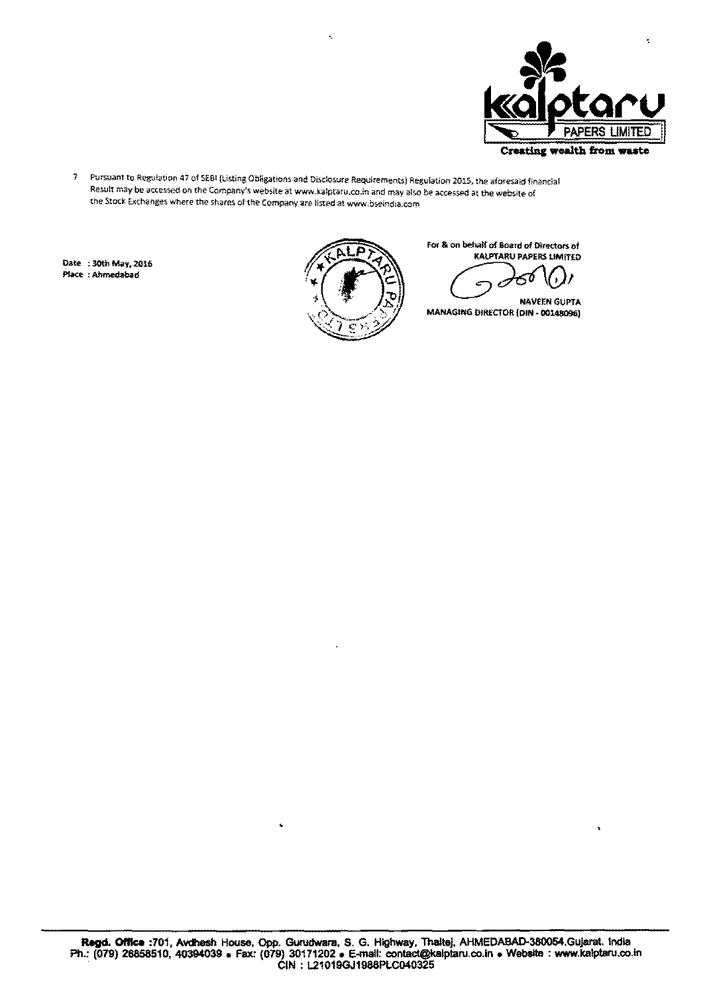

s.

7 Pursuant to Regulation 41 of SES! (Listing Obligations and Disclosure Requirements) Regulation 2015, the aforesaid financial Result may be accessed on the Company's website at www.kalptaru.co.in and may also be accessed at the website of the Stock Exchanges where the shares of the Company are listed at www.bseindia.com

Ą,

**Date** : 30th May, 2016



For & on behalf of Board of Directors of<br>KALPTARU PAPERS LIMITED

NAVEEN GUPTA MANAGING DIRECTOR (DIN - 00148096)

,